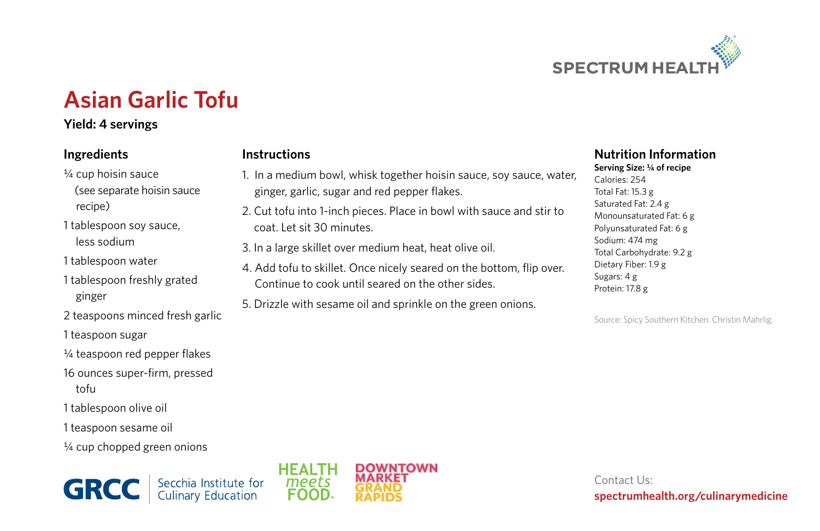

## **Asian Garlic Tofu**

**Instructions**

## **Yield: 4 servings**

## **Ingredients**

- ¼ cup hoisin sauce (see separate hoisin sauce recipe)
- 1 tablespoon soy sauce, less sodium
- 1 tablespoon water
- 1 tablespoon freshly grated ginger
- 2 teaspoons minced fresh garlic
- 1 teaspoon sugar
- ¼ teaspoon red pepper flakes
- 16 ounces super-firm, pressed tofu
- 1 tablespoon olive oil
- 1 teaspoon sesame oil
- ¼ cup chopped green onions





1. In a medium bowl, whisk together hoisin sauce, soy sauce, water,

2. Cut tofu into 1-inch pieces. Place in bowl with sauce and stir to

4. Add tofu to skillet. Once nicely seared on the bottom, flip over.

ginger, garlic, sugar and red pepper flakes.

3. In a large skillet over medium heat, heat olive oil.

Continue to cook until seared on the other sides. 5. Drizzle with sesame oil and sprinkle on the green onions.

coat. Let sit 30 minutes.

## **Nutrition Information**

**Serving Size: ¼ of recipe**  Calories: 254 Total Fat: 15.3 g Saturated Fat: 2.4 g Monounsaturated Fat: 6 g Polyunsaturated Fat: 6 g Sodium: 474 mg Total Carbohydrate: 9.2 g Dietary Fiber: 1.9 g Sugars: 4 g Protein: 17.8 g

Source: Spicy Southern Kitchen. Christin Mahrlig.

Contact Us: **spectrumhealth.org/culinarymedicine**